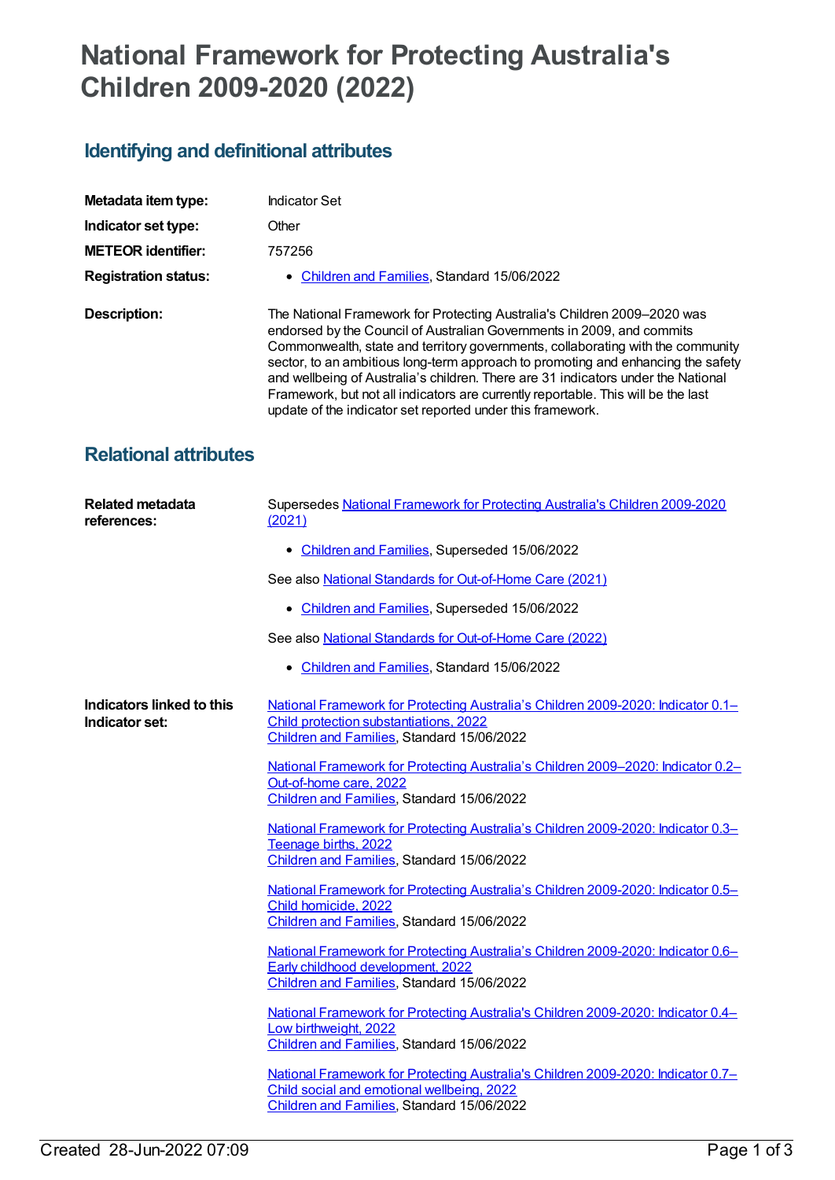# **National Framework for Protecting Australia's Children 2009-2020 (2022)**

# **Identifying and definitional attributes**

| Metadata item type:         | <b>Indicator Set</b>                                                                                                                                                                                                                                                                                                                                                                                                                                                                                                                                              |
|-----------------------------|-------------------------------------------------------------------------------------------------------------------------------------------------------------------------------------------------------------------------------------------------------------------------------------------------------------------------------------------------------------------------------------------------------------------------------------------------------------------------------------------------------------------------------------------------------------------|
| Indicator set type:         | Other                                                                                                                                                                                                                                                                                                                                                                                                                                                                                                                                                             |
| <b>METEOR identifier:</b>   | 757256                                                                                                                                                                                                                                                                                                                                                                                                                                                                                                                                                            |
| <b>Registration status:</b> | • Children and Families, Standard 15/06/2022                                                                                                                                                                                                                                                                                                                                                                                                                                                                                                                      |
| Description:                | The National Framework for Protecting Australia's Children 2009–2020 was<br>endorsed by the Council of Australian Governments in 2009, and commits<br>Commonwealth, state and territory governments, collaborating with the community<br>sector, to an ambitious long-term approach to promoting and enhancing the safety<br>and wellbeing of Australia's children. There are 31 indicators under the National<br>Framework, but not all indicators are currently reportable. This will be the last<br>update of the indicator set reported under this framework. |

## **Relational attributes**

| <b>Related metadata</b><br>references:      | Supersedes National Framework for Protecting Australia's Children 2009-2020<br>(2021)                                                                                        |
|---------------------------------------------|------------------------------------------------------------------------------------------------------------------------------------------------------------------------------|
|                                             | • Children and Families, Superseded 15/06/2022                                                                                                                               |
|                                             | See also National Standards for Out-of-Home Care (2021)                                                                                                                      |
|                                             | • Children and Families, Superseded 15/06/2022                                                                                                                               |
|                                             | See also National Standards for Out-of-Home Care (2022)                                                                                                                      |
|                                             | • Children and Families, Standard 15/06/2022                                                                                                                                 |
| Indicators linked to this<br>Indicator set: | National Framework for Protecting Australia's Children 2009-2020: Indicator 0.1-<br>Child protection substantiations, 2022<br>Children and Families, Standard 15/06/2022     |
|                                             | National Framework for Protecting Australia's Children 2009–2020: Indicator 0.2–<br>Out-of-home care, 2022<br>Children and Families, Standard 15/06/2022                     |
|                                             | National Framework for Protecting Australia's Children 2009-2020: Indicator 0.3-<br>Teenage births, 2022<br>Children and Families, Standard 15/06/2022                       |
|                                             | National Framework for Protecting Australia's Children 2009-2020: Indicator 0.5-<br>Child homicide, 2022<br>Children and Families, Standard 15/06/2022                       |
|                                             | National Framework for Protecting Australia's Children 2009-2020: Indicator 0.6–<br>Early childhood development, 2022<br>Children and Families, Standard 15/06/2022          |
|                                             | National Framework for Protecting Australia's Children 2009-2020: Indicator 0.4-<br>Low birthweight, 2022<br>Children and Families, Standard 15/06/2022                      |
|                                             | National Framework for Protecting Australia's Children 2009-2020: Indicator 0.7-<br>Child social and emotional wellbeing, 2022<br>Children and Families, Standard 15/06/2022 |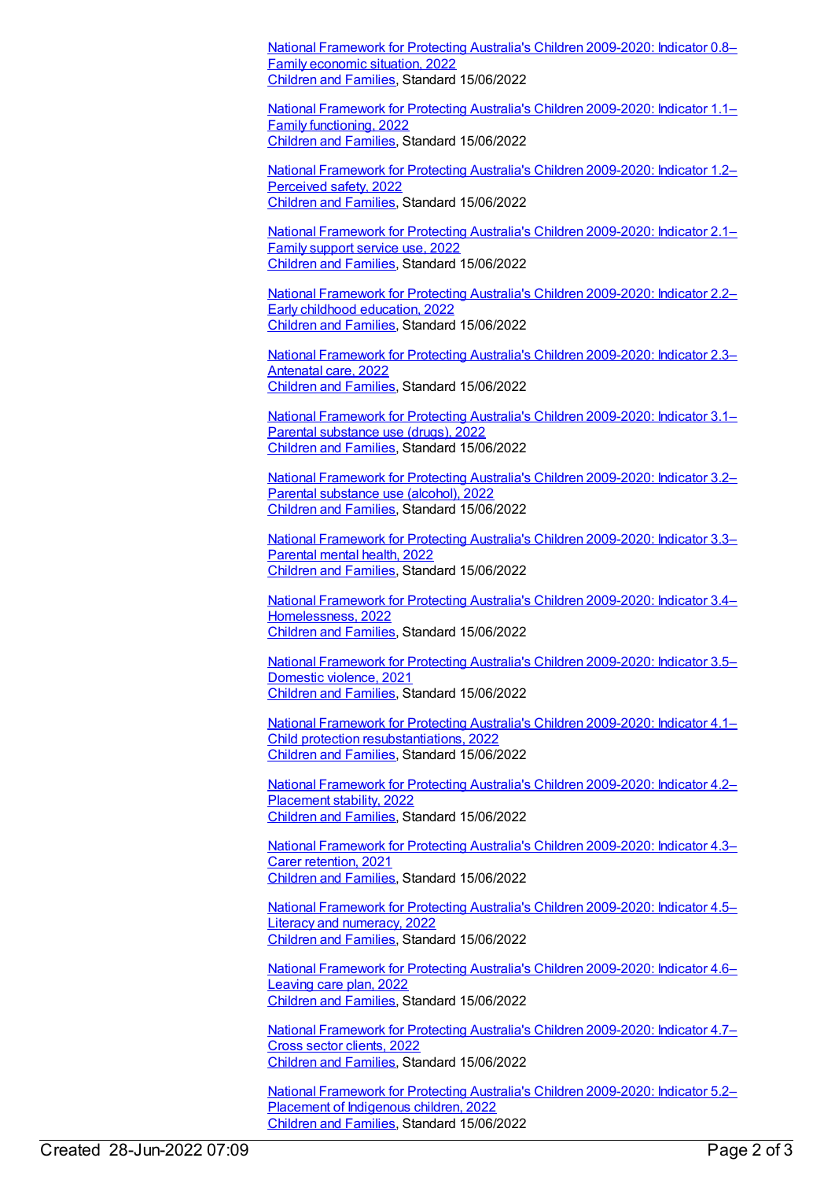National Framework for Protecting Australia's Children [2009-2020:](https://meteor.aihw.gov.au/content/759026) Indicator 0.8– Family economic situation, 2022 [Children](https://meteor.aihw.gov.au/RegistrationAuthority/17) and Families, Standard 15/06/2022

National Framework for Protecting Australia's Children [2009-2020:](https://meteor.aihw.gov.au/content/759028) Indicator 1.1– Family functioning, 2022 [Children](https://meteor.aihw.gov.au/RegistrationAuthority/17) and Families, Standard 15/06/2022

National Framework for Protecting Australia's Children [2009-2020:](https://meteor.aihw.gov.au/content/759030) Indicator 1.2– Perceived safety, 2022 [Children](https://meteor.aihw.gov.au/RegistrationAuthority/17) and Families, Standard 15/06/2022

National Framework for Protecting Australia's Children [2009-2020:](https://meteor.aihw.gov.au/content/757271) Indicator 2.1– Family support service use, 2022 [Children](https://meteor.aihw.gov.au/RegistrationAuthority/17) and Families, Standard 15/06/2022

National Framework for Protecting Australia's Children [2009-2020:](https://meteor.aihw.gov.au/content/757273) Indicator 2.2– Early childhood education, 2022 [Children](https://meteor.aihw.gov.au/RegistrationAuthority/17) and Families, Standard 15/06/2022

National Framework for Protecting Australia's Children [2009-2020:](https://meteor.aihw.gov.au/content/757275) Indicator 2.3– Antenatal care, 2022 [Children](https://meteor.aihw.gov.au/RegistrationAuthority/17) and Families, Standard 15/06/2022

National Framework for Protecting Australia's Children [2009-2020:](https://meteor.aihw.gov.au/content/759035) Indicator 3.1– Parental substance use (drugs), 2022 [Children](https://meteor.aihw.gov.au/RegistrationAuthority/17) and Families, Standard 15/06/2022

National Framework for Protecting Australia's Children [2009-2020:](https://meteor.aihw.gov.au/content/759037) Indicator 3.2– Parental substance use (alcohol), 2022 [Children](https://meteor.aihw.gov.au/RegistrationAuthority/17) and Families, Standard 15/06/2022

National Framework for Protecting Australia's Children [2009-2020:](https://meteor.aihw.gov.au/content/757280) Indicator 3.3– Parental mental health, 2022 [Children](https://meteor.aihw.gov.au/RegistrationAuthority/17) and Families, Standard 15/06/2022

National Framework for Protecting Australia's Children 2009-2020: Indicator 3.4– [Homelessness,](https://meteor.aihw.gov.au/content/757284) 2022 [Children](https://meteor.aihw.gov.au/RegistrationAuthority/17) and Families, Standard 15/06/2022

National Framework for Protecting Australia's Children [2009-2020:](https://meteor.aihw.gov.au/content/759040) Indicator 3.5– Domestic violence, 2021 [Children](https://meteor.aihw.gov.au/RegistrationAuthority/17) and Families, Standard 15/06/2022

National Framework for Protecting Australia's Children 2009-2020: Indicator 4.1– Child protection [resubstantiations,](https://meteor.aihw.gov.au/content/757286) 2022 [Children](https://meteor.aihw.gov.au/RegistrationAuthority/17) and Families, Standard 15/06/2022

National Framework for Protecting Australia's Children [2009-2020:](https://meteor.aihw.gov.au/content/757288) Indicator 4.2– Placement stability, 2022 [Children](https://meteor.aihw.gov.au/RegistrationAuthority/17) and Families, Standard 15/06/2022

National Framework for Protecting Australia's Children [2009-2020:](https://meteor.aihw.gov.au/content/757290) Indicator 4.3– Carer retention, 2021 [Children](https://meteor.aihw.gov.au/RegistrationAuthority/17) and Families, Standard 15/06/2022

National Framework for Protecting Australia's Children [2009-2020:](https://meteor.aihw.gov.au/content/759042) Indicator 4.5– Literacy and numeracy, 2022 [Children](https://meteor.aihw.gov.au/RegistrationAuthority/17) and Families, Standard 15/06/2022

National Framework for Protecting Australia's Children [2009-2020:](https://meteor.aihw.gov.au/content/757292) Indicator 4.6– Leaving care plan, 2022 [Children](https://meteor.aihw.gov.au/RegistrationAuthority/17) and Families, Standard 15/06/2022

National Framework for Protecting Australia's Children [2009-2020:](https://meteor.aihw.gov.au/content/757294) Indicator 4.7– Cross sector clients, 2022 [Children](https://meteor.aihw.gov.au/RegistrationAuthority/17) and Families, Standard 15/06/2022

National Framework for Protecting Australia's Children [2009-2020:](https://meteor.aihw.gov.au/content/757296) Indicator 5.2– Placement of Indigenous children, 2022 [Children](https://meteor.aihw.gov.au/RegistrationAuthority/17) and Families, Standard 15/06/2022